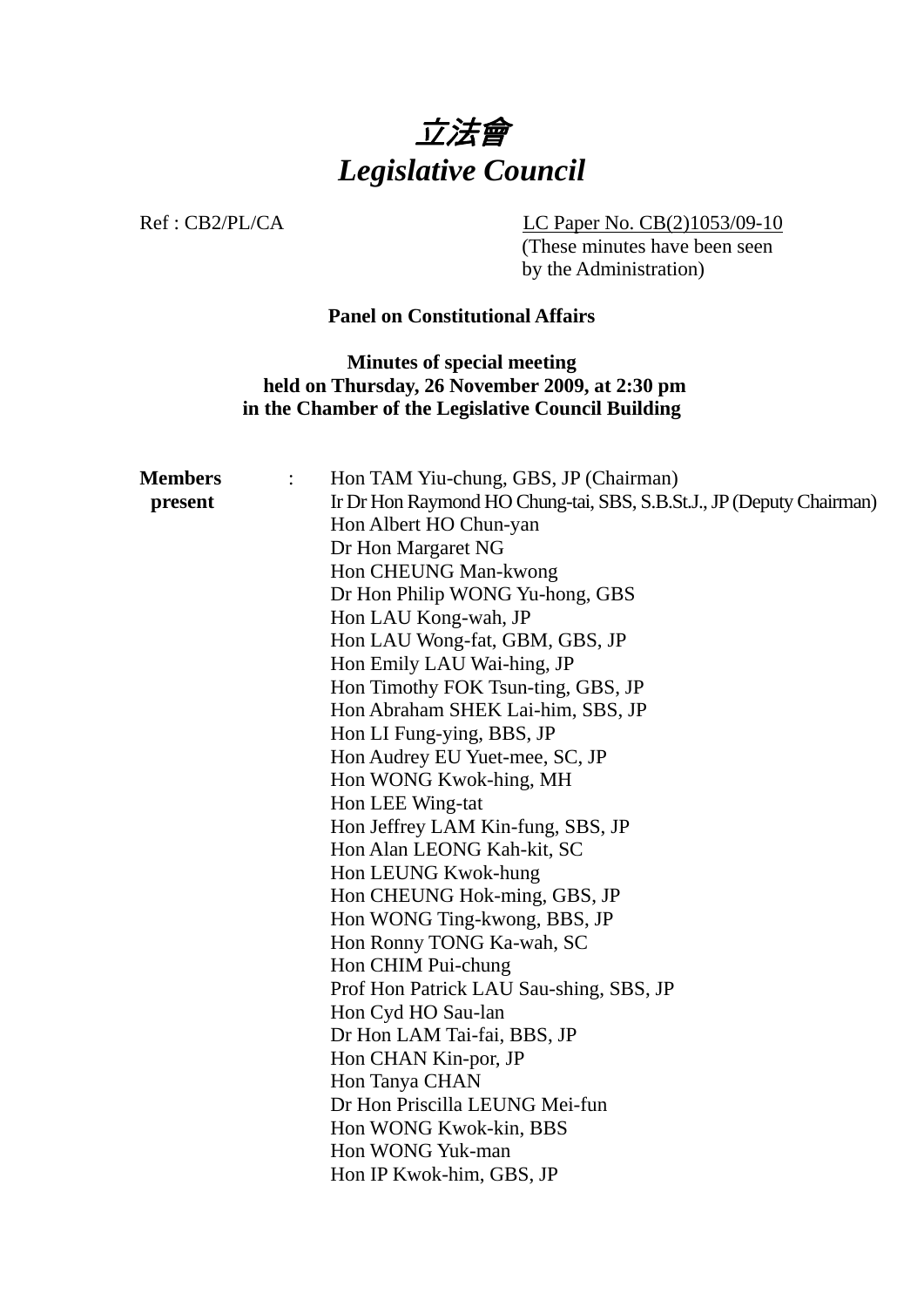

Ref : CB2/PL/CA LC Paper No. CB(2)1053/09-10

(These minutes have been seen by the Administration)

## **Panel on Constitutional Affairs**

**Minutes of special meeting held on Thursday, 26 November 2009, at 2:30 pm in the Chamber of the Legislative Council Building** 

| <b>Members</b> | Hon TAM Yiu-chung, GBS, JP (Chairman)                                |
|----------------|----------------------------------------------------------------------|
| present        | Ir Dr Hon Raymond HO Chung-tai, SBS, S.B.St.J., JP (Deputy Chairman) |
|                | Hon Albert HO Chun-yan                                               |
|                | Dr Hon Margaret NG                                                   |
|                | Hon CHEUNG Man-kwong                                                 |
|                | Dr Hon Philip WONG Yu-hong, GBS                                      |
|                | Hon LAU Kong-wah, JP                                                 |
|                | Hon LAU Wong-fat, GBM, GBS, JP                                       |
|                | Hon Emily LAU Wai-hing, JP                                           |
|                | Hon Timothy FOK Tsun-ting, GBS, JP                                   |
|                | Hon Abraham SHEK Lai-him, SBS, JP                                    |
|                | Hon LI Fung-ying, BBS, JP                                            |
|                | Hon Audrey EU Yuet-mee, SC, JP                                       |
|                | Hon WONG Kwok-hing, MH                                               |
|                | Hon LEE Wing-tat                                                     |
|                | Hon Jeffrey LAM Kin-fung, SBS, JP                                    |
|                | Hon Alan LEONG Kah-kit, SC                                           |
|                | Hon LEUNG Kwok-hung                                                  |
|                | Hon CHEUNG Hok-ming, GBS, JP                                         |
|                | Hon WONG Ting-kwong, BBS, JP                                         |
|                | Hon Ronny TONG Ka-wah, SC                                            |
|                | Hon CHIM Pui-chung                                                   |
|                | Prof Hon Patrick LAU Sau-shing, SBS, JP                              |
|                | Hon Cyd HO Sau-lan                                                   |
|                | Dr Hon LAM Tai-fai, BBS, JP                                          |
|                | Hon CHAN Kin-por, JP                                                 |
|                | Hon Tanya CHAN                                                       |
|                | Dr Hon Priscilla LEUNG Mei-fun                                       |
|                | Hon WONG Kwok-kin, BBS                                               |
|                | Hon WONG Yuk-man                                                     |
|                | Hon IP Kwok-him, GBS, JP                                             |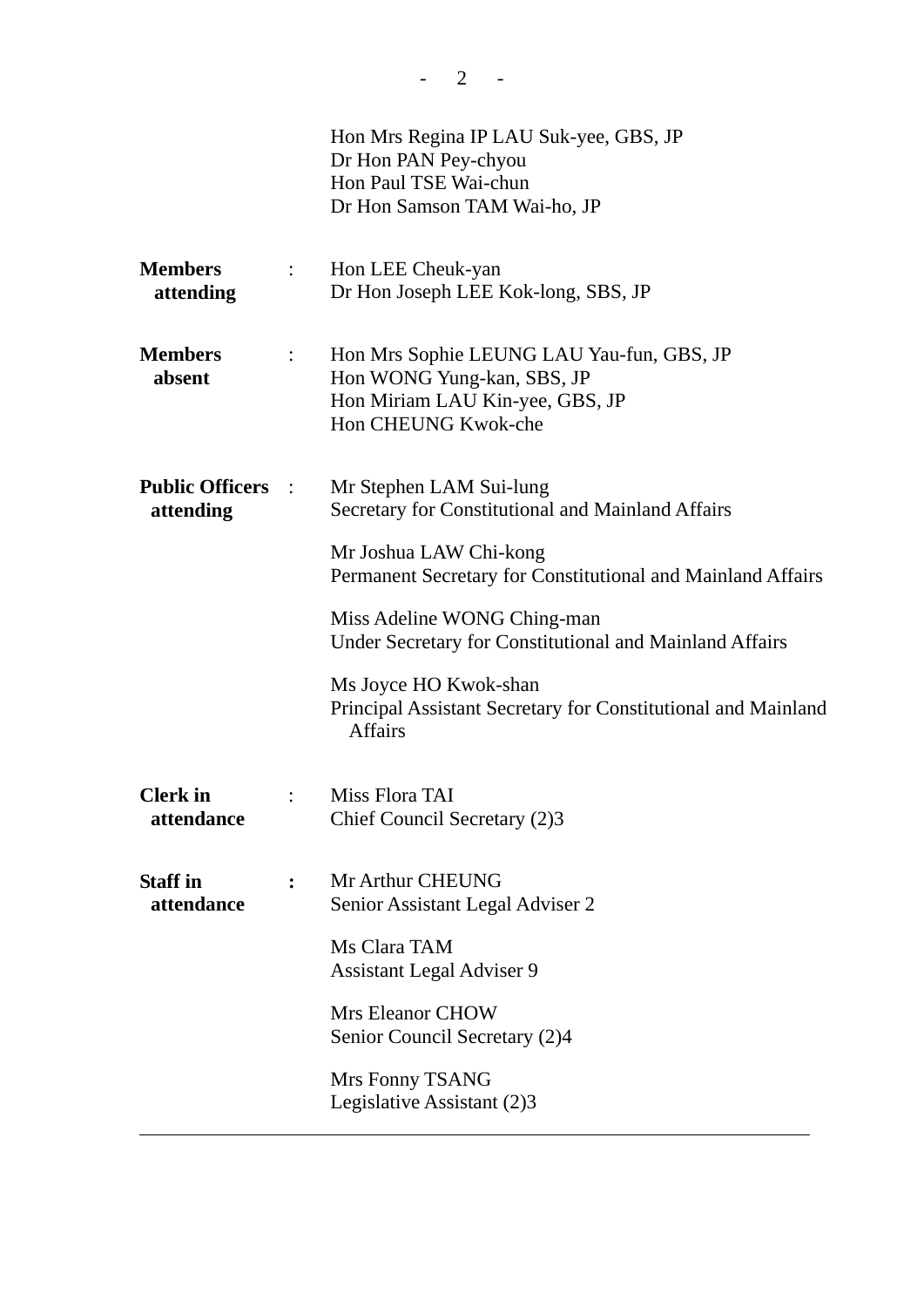|                                       |                | Hon Mrs Regina IP LAU Suk-yee, GBS, JP<br>Dr Hon PAN Pey-chyou<br>Hon Paul TSE Wai-chun<br>Dr Hon Samson TAM Wai-ho, JP                                                                                                                                                                                                                                                     |
|---------------------------------------|----------------|-----------------------------------------------------------------------------------------------------------------------------------------------------------------------------------------------------------------------------------------------------------------------------------------------------------------------------------------------------------------------------|
| <b>Members</b><br>attending           |                | : Hon LEE Cheuk-yan<br>Dr Hon Joseph LEE Kok-long, SBS, JP                                                                                                                                                                                                                                                                                                                  |
| <b>Members</b><br>absent              | $\ddot{\cdot}$ | Hon Mrs Sophie LEUNG LAU Yau-fun, GBS, JP<br>Hon WONG Yung-kan, SBS, JP<br>Hon Miriam LAU Kin-yee, GBS, JP<br>Hon CHEUNG Kwok-che                                                                                                                                                                                                                                           |
| <b>Public Officers :</b><br>attending |                | Mr Stephen LAM Sui-lung<br>Secretary for Constitutional and Mainland Affairs<br>Mr Joshua LAW Chi-kong<br>Permanent Secretary for Constitutional and Mainland Affairs<br>Miss Adeline WONG Ching-man<br>Under Secretary for Constitutional and Mainland Affairs<br>Ms Joyce HO Kwok-shan<br>Principal Assistant Secretary for Constitutional and Mainland<br><b>Affairs</b> |
| <b>Clerk</b> in<br>attendance         |                | Miss Flora TAI<br>Chief Council Secretary (2)3                                                                                                                                                                                                                                                                                                                              |
| <b>Staff</b> in<br>attendance         |                | Mr Arthur CHEUNG<br>Senior Assistant Legal Adviser 2<br>Ms Clara TAM<br><b>Assistant Legal Adviser 9</b><br><b>Mrs Eleanor CHOW</b><br>Senior Council Secretary (2)4<br>Mrs Fonny TSANG<br>Legislative Assistant (2)3                                                                                                                                                       |

 $- 2 - -$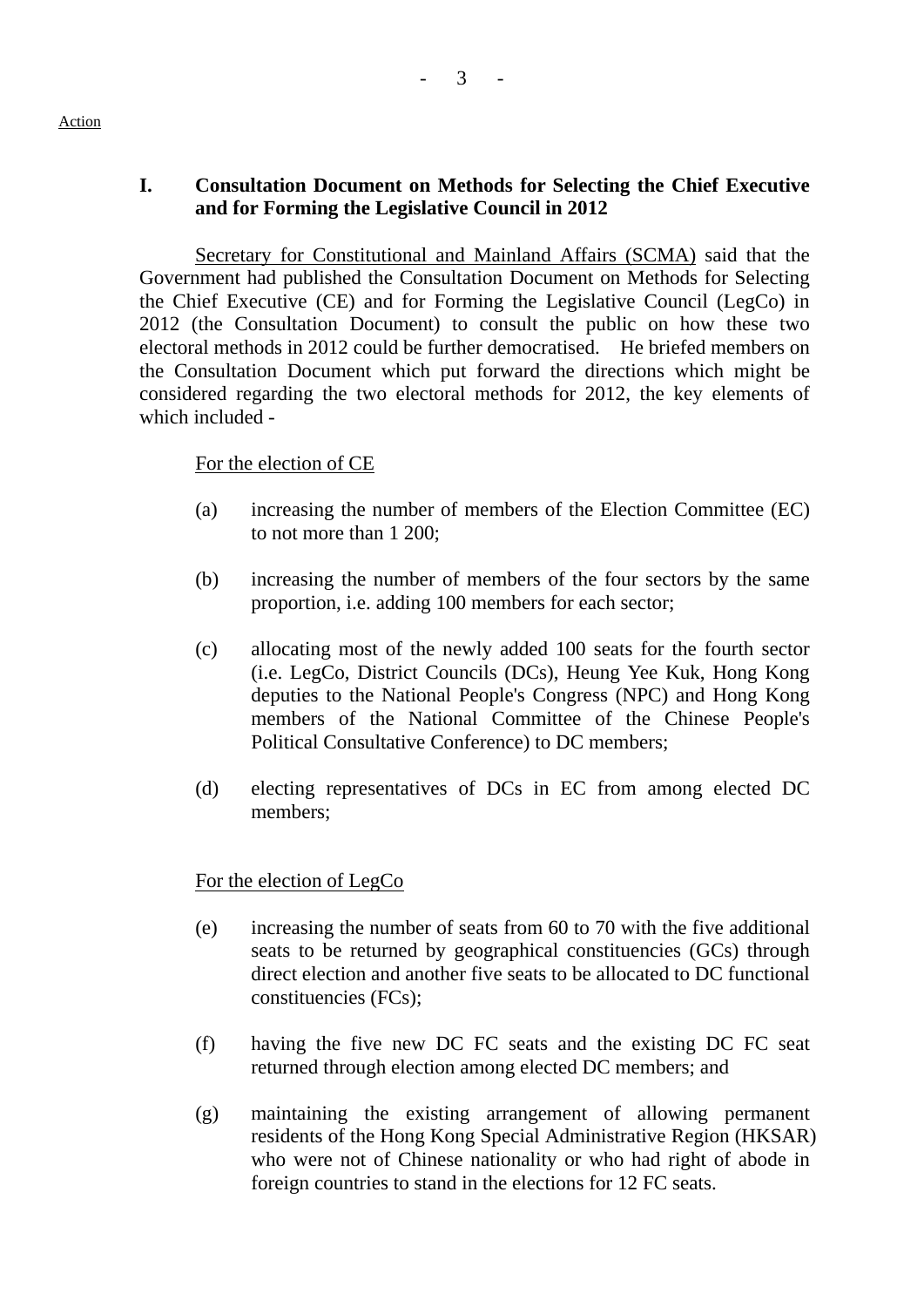## **I. Consultation Document on Methods for Selecting the Chief Executive and for Forming the Legislative Council in 2012**

 Secretary for Constitutional and Mainland Affairs (SCMA) said that the Government had published the Consultation Document on Methods for Selecting the Chief Executive (CE) and for Forming the Legislative Council (LegCo) in 2012 (the Consultation Document) to consult the public on how these two electoral methods in 2012 could be further democratised. He briefed members on the Consultation Document which put forward the directions which might be considered regarding the two electoral methods for 2012, the key elements of which included -

## For the election of CE

- (a) increasing the number of members of the Election Committee (EC) to not more than 1 200;
- (b) increasing the number of members of the four sectors by the same proportion, i.e. adding 100 members for each sector;
- (c) allocating most of the newly added 100 seats for the fourth sector (i.e. LegCo, District Councils (DCs), Heung Yee Kuk, Hong Kong deputies to the National People's Congress (NPC) and Hong Kong members of the National Committee of the Chinese People's Political Consultative Conference) to DC members;
- (d) electing representatives of DCs in EC from among elected DC members;

For the election of LegCo

- (e) increasing the number of seats from 60 to 70 with the five additional seats to be returned by geographical constituencies (GCs) through direct election and another five seats to be allocated to DC functional constituencies (FCs);
- (f) having the five new DC FC seats and the existing DC FC seat returned through election among elected DC members; and
- (g) maintaining the existing arrangement of allowing permanent residents of the Hong Kong Special Administrative Region (HKSAR) who were not of Chinese nationality or who had right of abode in foreign countries to stand in the elections for 12 FC seats.

#### Action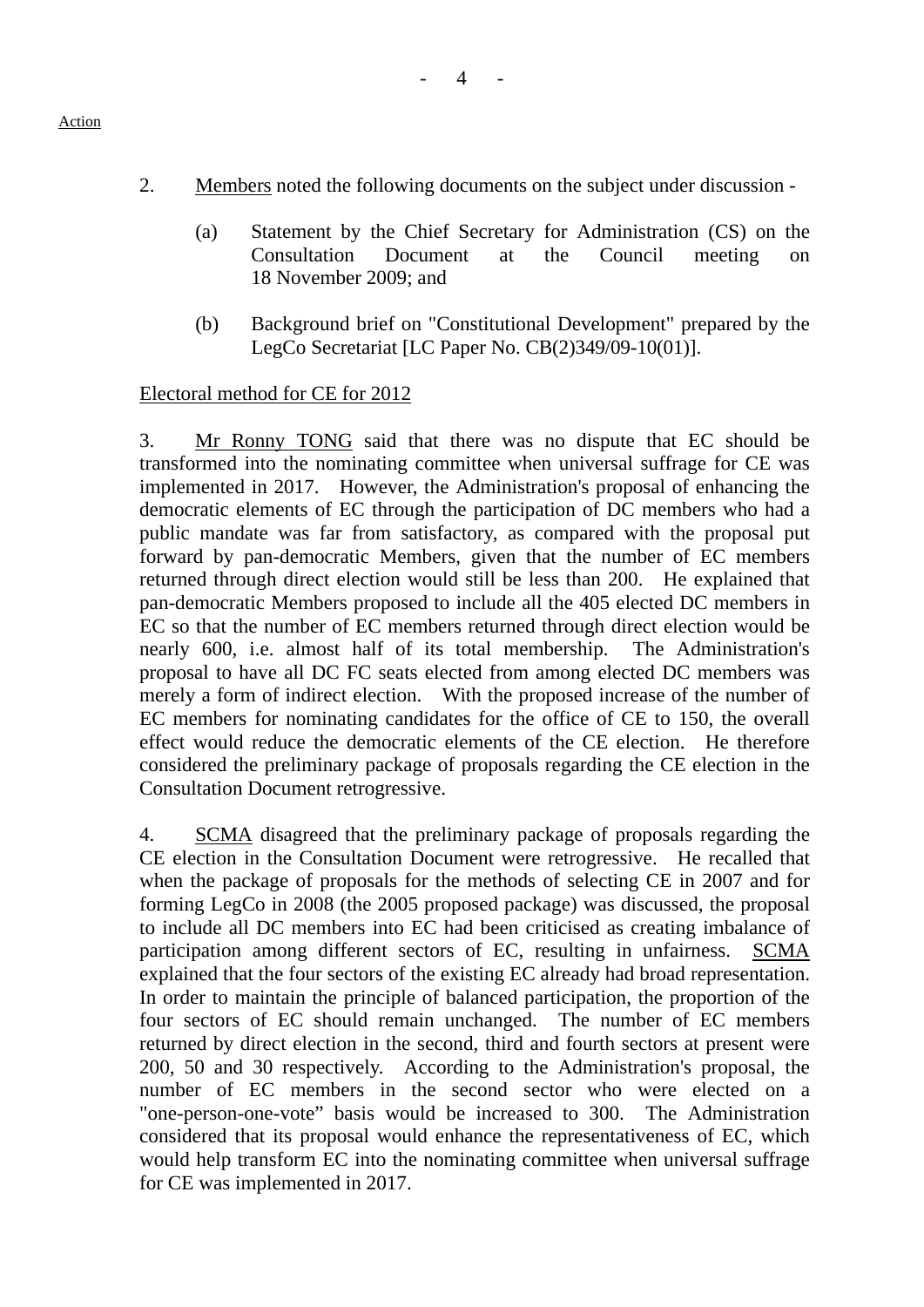- 2. Members noted the following documents on the subject under discussion
	- (a) Statement by the Chief Secretary for Administration (CS) on the Consultation Document at the Council meeting on 18 November 2009; and
	- (b) Background brief on "Constitutional Development" prepared by the LegCo Secretariat [LC Paper No. CB(2)349/09-10(01)].

## Electoral method for CE for 2012

3. Mr Ronny TONG said that there was no dispute that EC should be transformed into the nominating committee when universal suffrage for CE was implemented in 2017. However, the Administration's proposal of enhancing the democratic elements of EC through the participation of DC members who had a public mandate was far from satisfactory, as compared with the proposal put forward by pan-democratic Members, given that the number of EC members returned through direct election would still be less than 200. He explained that pan-democratic Members proposed to include all the 405 elected DC members in EC so that the number of EC members returned through direct election would be nearly 600, i.e. almost half of its total membership. The Administration's proposal to have all DC FC seats elected from among elected DC members was merely a form of indirect election. With the proposed increase of the number of EC members for nominating candidates for the office of CE to 150, the overall effect would reduce the democratic elements of the CE election. He therefore considered the preliminary package of proposals regarding the CE election in the Consultation Document retrogressive.

4. SCMA disagreed that the preliminary package of proposals regarding the CE election in the Consultation Document were retrogressive. He recalled that when the package of proposals for the methods of selecting CE in 2007 and for forming LegCo in 2008 (the 2005 proposed package) was discussed, the proposal to include all DC members into EC had been criticised as creating imbalance of participation among different sectors of EC, resulting in unfairness. SCMA explained that the four sectors of the existing EC already had broad representation. In order to maintain the principle of balanced participation, the proportion of the four sectors of EC should remain unchanged. The number of EC members returned by direct election in the second, third and fourth sectors at present were 200, 50 and 30 respectively. According to the Administration's proposal, the number of EC members in the second sector who were elected on a "one-person-one-vote" basis would be increased to 300. The Administration considered that its proposal would enhance the representativeness of EC, which would help transform EC into the nominating committee when universal suffrage for CE was implemented in 2017.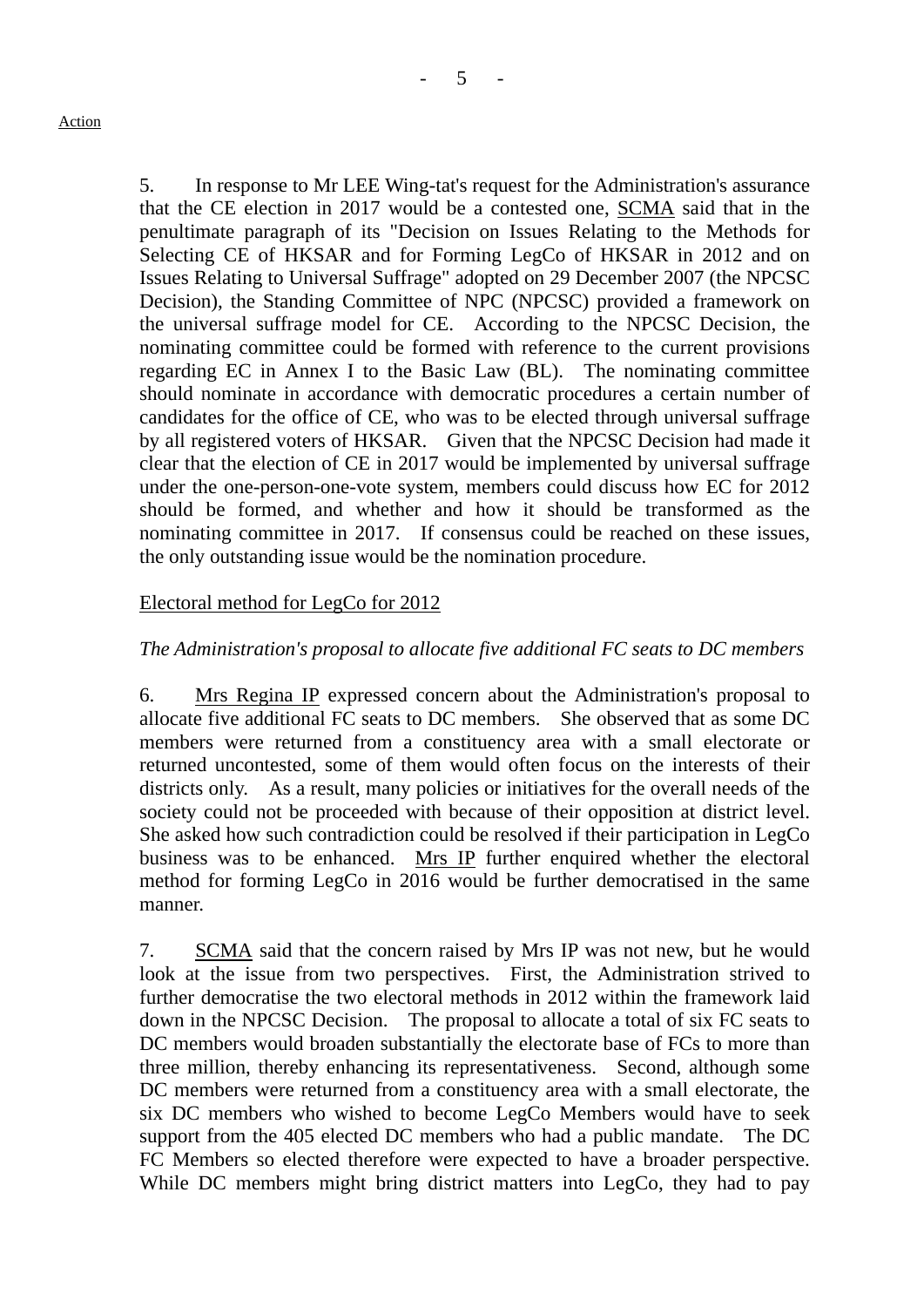5. In response to Mr LEE Wing-tat's request for the Administration's assurance that the CE election in 2017 would be a contested one, SCMA said that in the penultimate paragraph of its "Decision on Issues Relating to the Methods for Selecting CE of HKSAR and for Forming LegCo of HKSAR in 2012 and on Issues Relating to Universal Suffrage" adopted on 29 December 2007 (the NPCSC Decision), the Standing Committee of NPC (NPCSC) provided a framework on the universal suffrage model for CE. According to the NPCSC Decision, the nominating committee could be formed with reference to the current provisions regarding EC in Annex I to the Basic Law (BL). The nominating committee should nominate in accordance with democratic procedures a certain number of candidates for the office of CE, who was to be elected through universal suffrage by all registered voters of HKSAR. Given that the NPCSC Decision had made it clear that the election of CE in 2017 would be implemented by universal suffrage under the one-person-one-vote system, members could discuss how EC for 2012 should be formed, and whether and how it should be transformed as the nominating committee in 2017. If consensus could be reached on these issues, the only outstanding issue would be the nomination procedure.

## Electoral method for LegCo for 2012

## *The Administration's proposal to allocate five additional FC seats to DC members*

6. Mrs Regina IP expressed concern about the Administration's proposal to allocate five additional FC seats to DC members. She observed that as some DC members were returned from a constituency area with a small electorate or returned uncontested, some of them would often focus on the interests of their districts only. As a result, many policies or initiatives for the overall needs of the society could not be proceeded with because of their opposition at district level. She asked how such contradiction could be resolved if their participation in LegCo business was to be enhanced. Mrs IP further enquired whether the electoral method for forming LegCo in 2016 would be further democratised in the same manner.

7. SCMA said that the concern raised by Mrs IP was not new, but he would look at the issue from two perspectives. First, the Administration strived to further democratise the two electoral methods in 2012 within the framework laid down in the NPCSC Decision. The proposal to allocate a total of six FC seats to DC members would broaden substantially the electorate base of FCs to more than three million, thereby enhancing its representativeness. Second, although some DC members were returned from a constituency area with a small electorate, the six DC members who wished to become LegCo Members would have to seek support from the 405 elected DC members who had a public mandate. The DC FC Members so elected therefore were expected to have a broader perspective. While DC members might bring district matters into LegCo, they had to pay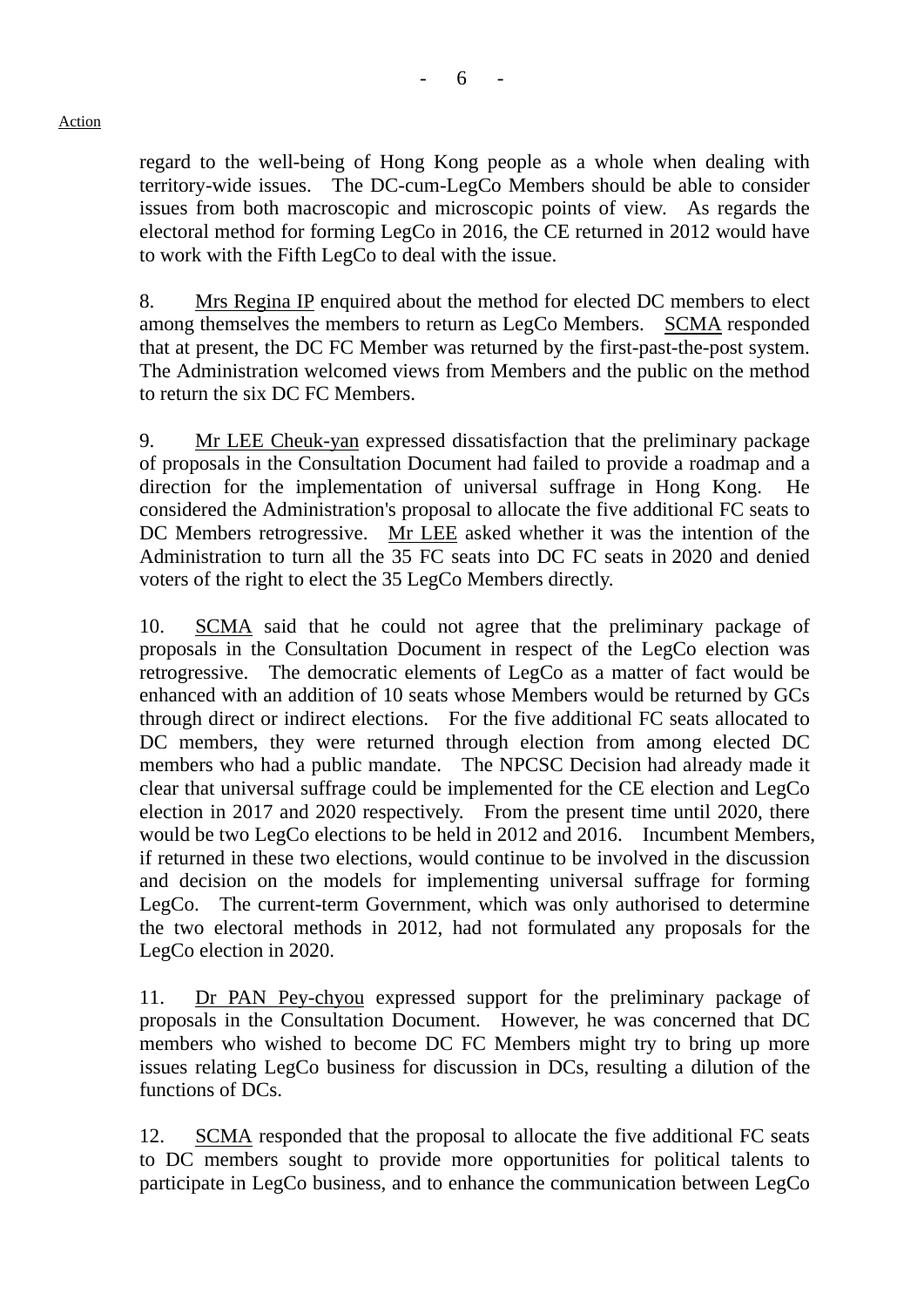regard to the well-being of Hong Kong people as a whole when dealing with territory-wide issues. The DC-cum-LegCo Members should be able to consider issues from both macroscopic and microscopic points of view. As regards the electoral method for forming LegCo in 2016, the CE returned in 2012 would have to work with the Fifth LegCo to deal with the issue.

8. Mrs Regina IP enquired about the method for elected DC members to elect among themselves the members to return as LegCo Members. SCMA responded that at present, the DC FC Member was returned by the first-past-the-post system. The Administration welcomed views from Members and the public on the method to return the six DC FC Members.

9. Mr LEE Cheuk-yan expressed dissatisfaction that the preliminary package of proposals in the Consultation Document had failed to provide a roadmap and a direction for the implementation of universal suffrage in Hong Kong. He considered the Administration's proposal to allocate the five additional FC seats to DC Members retrogressive. Mr LEE asked whether it was the intention of the Administration to turn all the 35 FC seats into DC FC seats in 2020 and denied voters of the right to elect the 35 LegCo Members directly.

10. SCMA said that he could not agree that the preliminary package of proposals in the Consultation Document in respect of the LegCo election was retrogressive. The democratic elements of LegCo as a matter of fact would be enhanced with an addition of 10 seats whose Members would be returned by GCs through direct or indirect elections. For the five additional FC seats allocated to DC members, they were returned through election from among elected DC members who had a public mandate. The NPCSC Decision had already made it clear that universal suffrage could be implemented for the CE election and LegCo election in 2017 and 2020 respectively. From the present time until 2020, there would be two LegCo elections to be held in 2012 and 2016. Incumbent Members, if returned in these two elections, would continue to be involved in the discussion and decision on the models for implementing universal suffrage for forming LegCo. The current-term Government, which was only authorised to determine the two electoral methods in 2012, had not formulated any proposals for the LegCo election in 2020.

11. Dr PAN Pey-chyou expressed support for the preliminary package of proposals in the Consultation Document. However, he was concerned that DC members who wished to become DC FC Members might try to bring up more issues relating LegCo business for discussion in DCs, resulting a dilution of the functions of DCs.

12. SCMA responded that the proposal to allocate the five additional FC seats to DC members sought to provide more opportunities for political talents to participate in LegCo business, and to enhance the communication between LegCo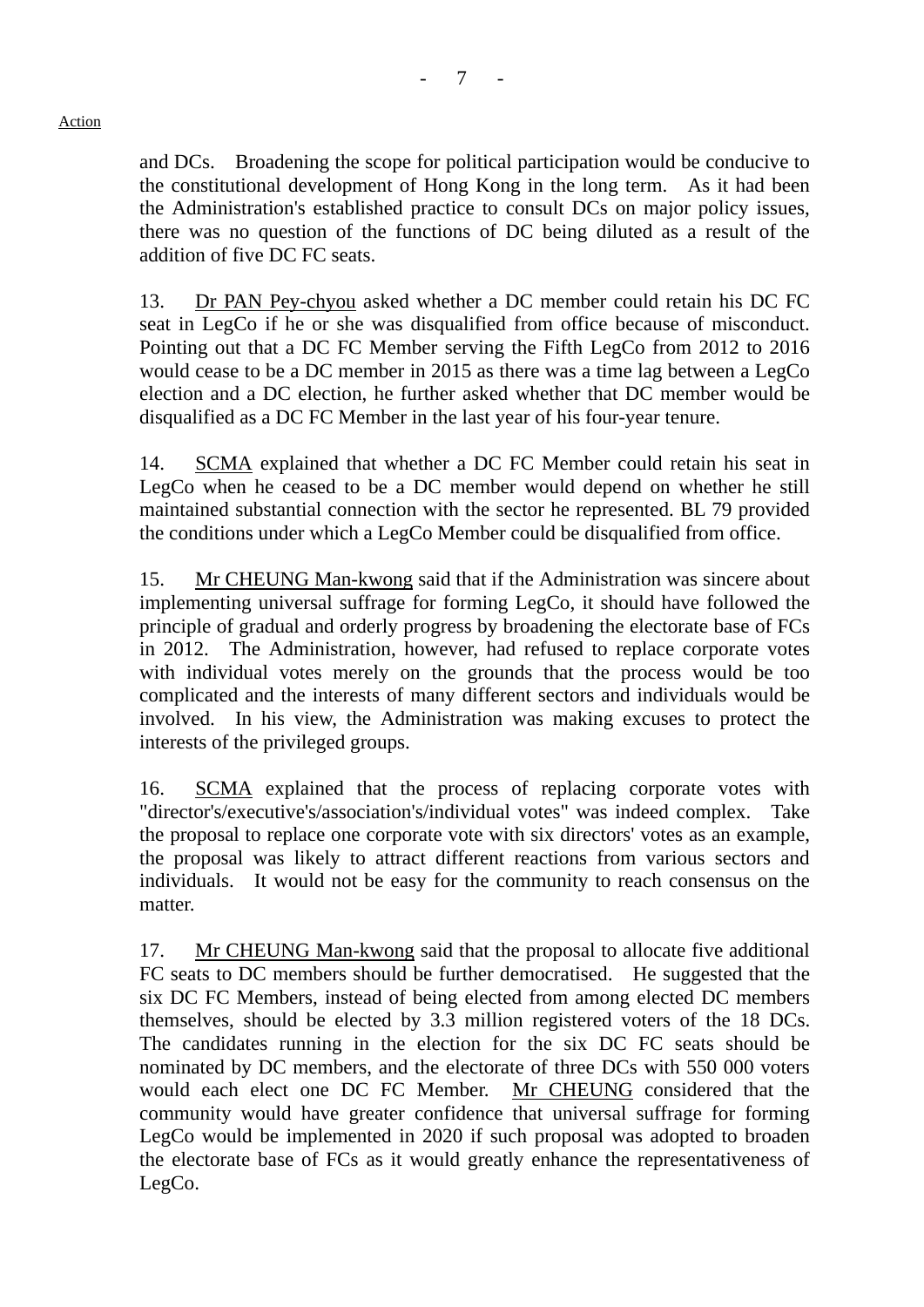and DCs. Broadening the scope for political participation would be conducive to the constitutional development of Hong Kong in the long term. As it had been the Administration's established practice to consult DCs on major policy issues, there was no question of the functions of DC being diluted as a result of the addition of five DC FC seats.

13. Dr PAN Pey-chyou asked whether a DC member could retain his DC FC seat in LegCo if he or she was disqualified from office because of misconduct. Pointing out that a DC FC Member serving the Fifth LegCo from 2012 to 2016 would cease to be a DC member in 2015 as there was a time lag between a LegCo election and a DC election, he further asked whether that DC member would be disqualified as a DC FC Member in the last year of his four-year tenure.

14. SCMA explained that whether a DC FC Member could retain his seat in LegCo when he ceased to be a DC member would depend on whether he still maintained substantial connection with the sector he represented. BL 79 provided the conditions under which a LegCo Member could be disqualified from office.

15. Mr CHEUNG Man-kwong said that if the Administration was sincere about implementing universal suffrage for forming LegCo, it should have followed the principle of gradual and orderly progress by broadening the electorate base of FCs in 2012. The Administration, however, had refused to replace corporate votes with individual votes merely on the grounds that the process would be too complicated and the interests of many different sectors and individuals would be involved. In his view, the Administration was making excuses to protect the interests of the privileged groups.

16. SCMA explained that the process of replacing corporate votes with "director's/executive's/association's/individual votes" was indeed complex. Take the proposal to replace one corporate vote with six directors' votes as an example, the proposal was likely to attract different reactions from various sectors and individuals. It would not be easy for the community to reach consensus on the matter.

17. Mr CHEUNG Man-kwong said that the proposal to allocate five additional FC seats to DC members should be further democratised. He suggested that the six DC FC Members, instead of being elected from among elected DC members themselves, should be elected by 3.3 million registered voters of the 18 DCs. The candidates running in the election for the six DC FC seats should be nominated by DC members, and the electorate of three DCs with 550 000 voters would each elect one DC FC Member. Mr CHEUNG considered that the community would have greater confidence that universal suffrage for forming LegCo would be implemented in 2020 if such proposal was adopted to broaden the electorate base of FCs as it would greatly enhance the representativeness of LegCo.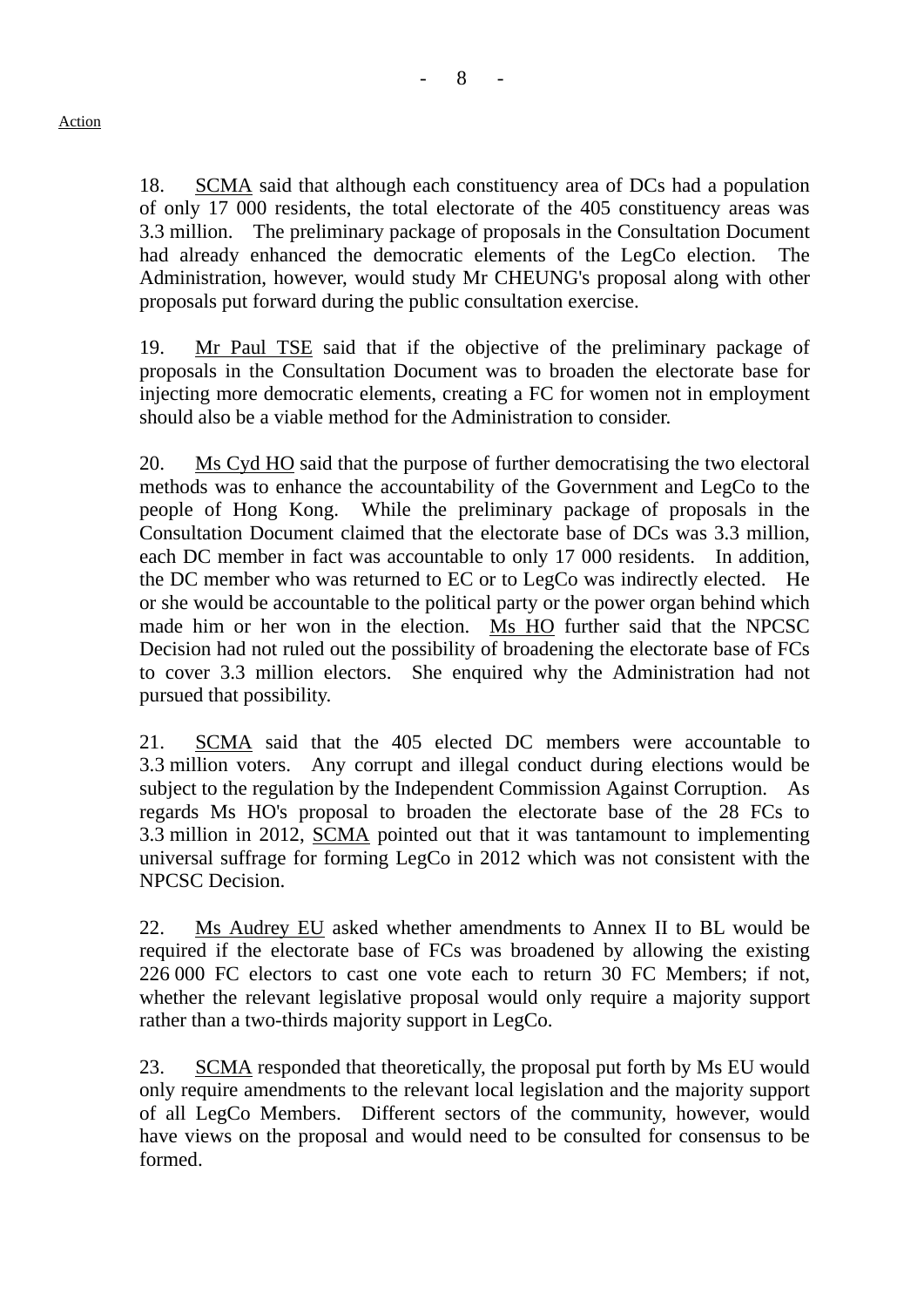18. SCMA said that although each constituency area of DCs had a population of only 17 000 residents, the total electorate of the 405 constituency areas was 3.3 million. The preliminary package of proposals in the Consultation Document had already enhanced the democratic elements of the LegCo election. The Administration, however, would study Mr CHEUNG's proposal along with other proposals put forward during the public consultation exercise.

19. Mr Paul TSE said that if the objective of the preliminary package of proposals in the Consultation Document was to broaden the electorate base for injecting more democratic elements, creating a FC for women not in employment should also be a viable method for the Administration to consider.

20. Ms Cyd HO said that the purpose of further democratising the two electoral methods was to enhance the accountability of the Government and LegCo to the people of Hong Kong. While the preliminary package of proposals in the Consultation Document claimed that the electorate base of DCs was 3.3 million, each DC member in fact was accountable to only 17 000 residents. In addition, the DC member who was returned to EC or to LegCo was indirectly elected. He or she would be accountable to the political party or the power organ behind which made him or her won in the election. Ms HO further said that the NPCSC Decision had not ruled out the possibility of broadening the electorate base of FCs to cover 3.3 million electors. She enquired why the Administration had not pursued that possibility.

21. SCMA said that the 405 elected DC members were accountable to 3.3 million voters. Any corrupt and illegal conduct during elections would be subject to the regulation by the Independent Commission Against Corruption. As regards Ms HO's proposal to broaden the electorate base of the 28 FCs to 3.3 million in 2012, SCMA pointed out that it was tantamount to implementing universal suffrage for forming LegCo in 2012 which was not consistent with the NPCSC Decision.

22. Ms Audrey EU asked whether amendments to Annex II to BL would be required if the electorate base of FCs was broadened by allowing the existing 226 000 FC electors to cast one vote each to return 30 FC Members; if not, whether the relevant legislative proposal would only require a majority support rather than a two-thirds majority support in LegCo.

23. SCMA responded that theoretically, the proposal put forth by Ms EU would only require amendments to the relevant local legislation and the majority support of all LegCo Members. Different sectors of the community, however, would have views on the proposal and would need to be consulted for consensus to be formed.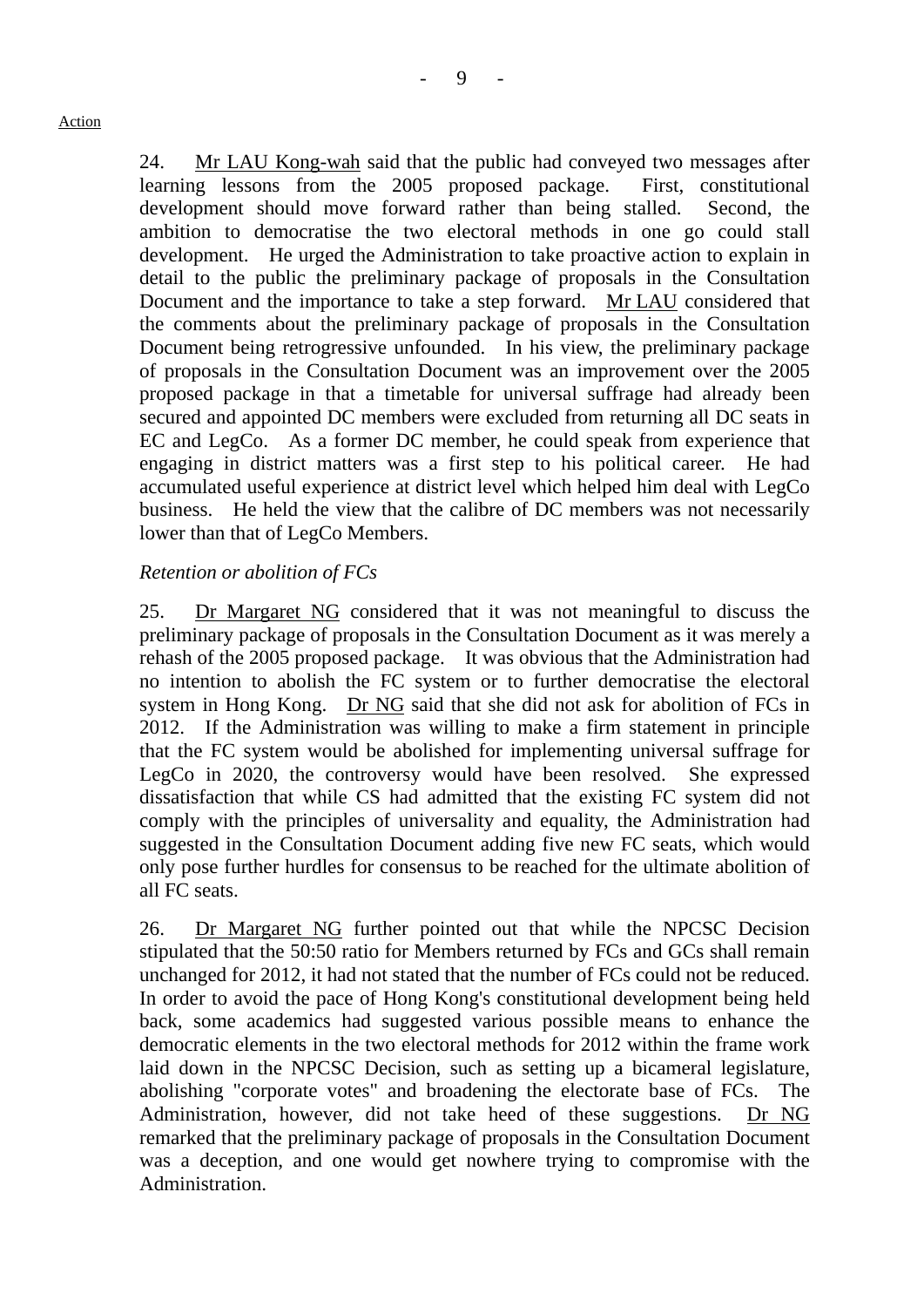24. Mr LAU Kong-wah said that the public had conveyed two messages after learning lessons from the 2005 proposed package. First, constitutional development should move forward rather than being stalled. Second, the ambition to democratise the two electoral methods in one go could stall development. He urged the Administration to take proactive action to explain in detail to the public the preliminary package of proposals in the Consultation Document and the importance to take a step forward. Mr LAU considered that the comments about the preliminary package of proposals in the Consultation Document being retrogressive unfounded. In his view, the preliminary package of proposals in the Consultation Document was an improvement over the 2005 proposed package in that a timetable for universal suffrage had already been secured and appointed DC members were excluded from returning all DC seats in EC and LegCo. As a former DC member, he could speak from experience that engaging in district matters was a first step to his political career. He had accumulated useful experience at district level which helped him deal with LegCo business. He held the view that the calibre of DC members was not necessarily lower than that of LegCo Members.

# *Retention or abolition of FCs*

25. Dr Margaret NG considered that it was not meaningful to discuss the preliminary package of proposals in the Consultation Document as it was merely a rehash of the 2005 proposed package. It was obvious that the Administration had no intention to abolish the FC system or to further democratise the electoral system in Hong Kong. Dr NG said that she did not ask for abolition of FCs in 2012. If the Administration was willing to make a firm statement in principle that the FC system would be abolished for implementing universal suffrage for LegCo in 2020, the controversy would have been resolved. She expressed dissatisfaction that while CS had admitted that the existing FC system did not comply with the principles of universality and equality, the Administration had suggested in the Consultation Document adding five new FC seats, which would only pose further hurdles for consensus to be reached for the ultimate abolition of all FC seats.

26. Dr Margaret NG further pointed out that while the NPCSC Decision stipulated that the 50:50 ratio for Members returned by FCs and GCs shall remain unchanged for 2012, it had not stated that the number of FCs could not be reduced. In order to avoid the pace of Hong Kong's constitutional development being held back, some academics had suggested various possible means to enhance the democratic elements in the two electoral methods for 2012 within the frame work laid down in the NPCSC Decision, such as setting up a bicameral legislature, abolishing "corporate votes" and broadening the electorate base of FCs. The Administration, however, did not take heed of these suggestions. Dr NG remarked that the preliminary package of proposals in the Consultation Document was a deception, and one would get nowhere trying to compromise with the Administration.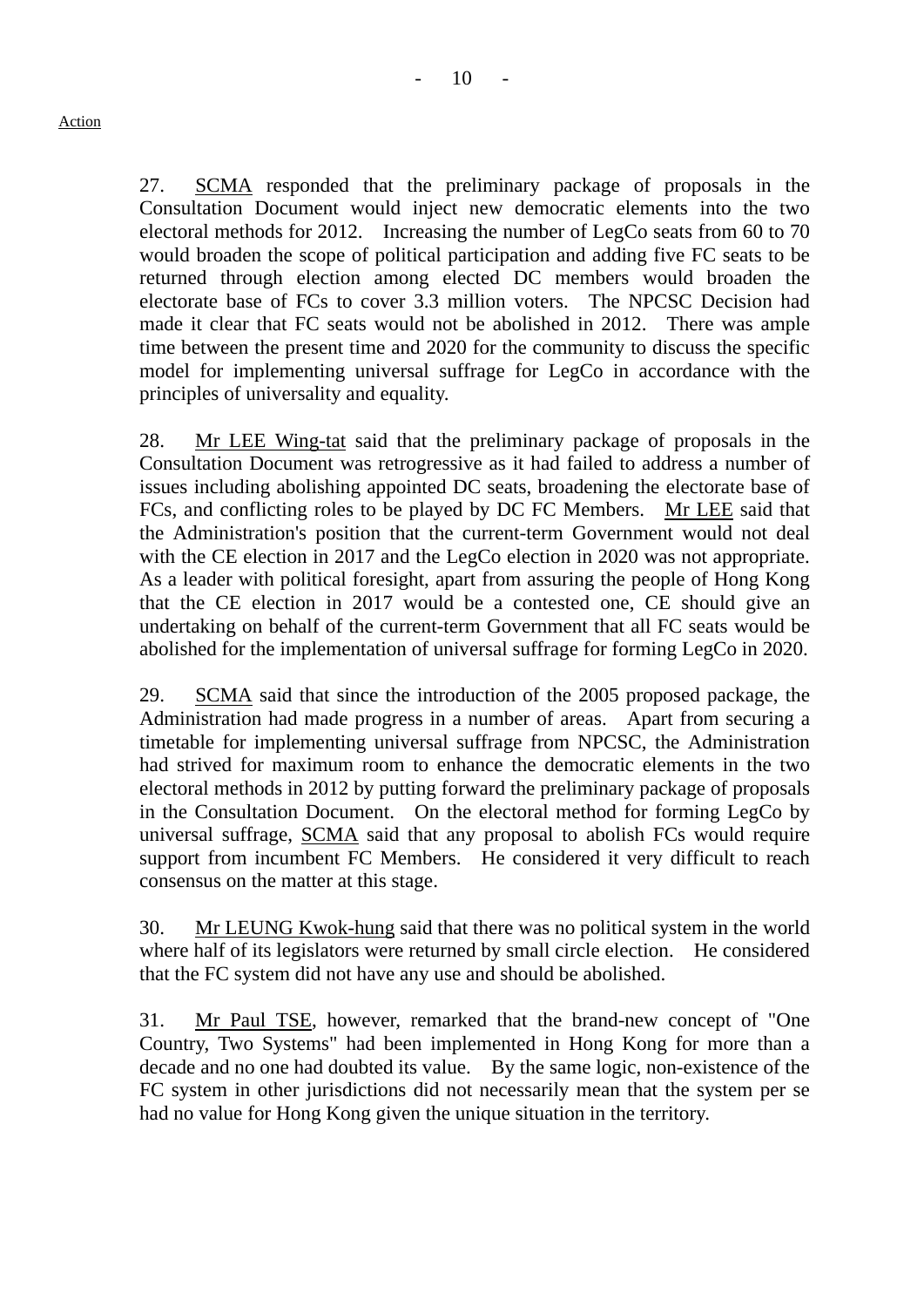27. SCMA responded that the preliminary package of proposals in the Consultation Document would inject new democratic elements into the two electoral methods for 2012. Increasing the number of LegCo seats from 60 to 70 would broaden the scope of political participation and adding five FC seats to be returned through election among elected DC members would broaden the electorate base of FCs to cover 3.3 million voters. The NPCSC Decision had made it clear that FC seats would not be abolished in 2012. There was ample time between the present time and 2020 for the community to discuss the specific model for implementing universal suffrage for LegCo in accordance with the principles of universality and equality.

28. Mr LEE Wing-tat said that the preliminary package of proposals in the Consultation Document was retrogressive as it had failed to address a number of issues including abolishing appointed DC seats, broadening the electorate base of FCs, and conflicting roles to be played by DC FC Members. Mr LEE said that the Administration's position that the current-term Government would not deal with the CE election in 2017 and the LegCo election in 2020 was not appropriate. As a leader with political foresight, apart from assuring the people of Hong Kong that the CE election in 2017 would be a contested one, CE should give an undertaking on behalf of the current-term Government that all FC seats would be abolished for the implementation of universal suffrage for forming LegCo in 2020.

29. SCMA said that since the introduction of the 2005 proposed package, the Administration had made progress in a number of areas. Apart from securing a timetable for implementing universal suffrage from NPCSC, the Administration had strived for maximum room to enhance the democratic elements in the two electoral methods in 2012 by putting forward the preliminary package of proposals in the Consultation Document. On the electoral method for forming LegCo by universal suffrage, SCMA said that any proposal to abolish FCs would require support from incumbent FC Members. He considered it very difficult to reach consensus on the matter at this stage.

30. Mr LEUNG Kwok-hung said that there was no political system in the world where half of its legislators were returned by small circle election. He considered that the FC system did not have any use and should be abolished.

31. Mr Paul TSE, however, remarked that the brand-new concept of "One Country, Two Systems" had been implemented in Hong Kong for more than a decade and no one had doubted its value. By the same logic, non-existence of the FC system in other jurisdictions did not necessarily mean that the system per se had no value for Hong Kong given the unique situation in the territory.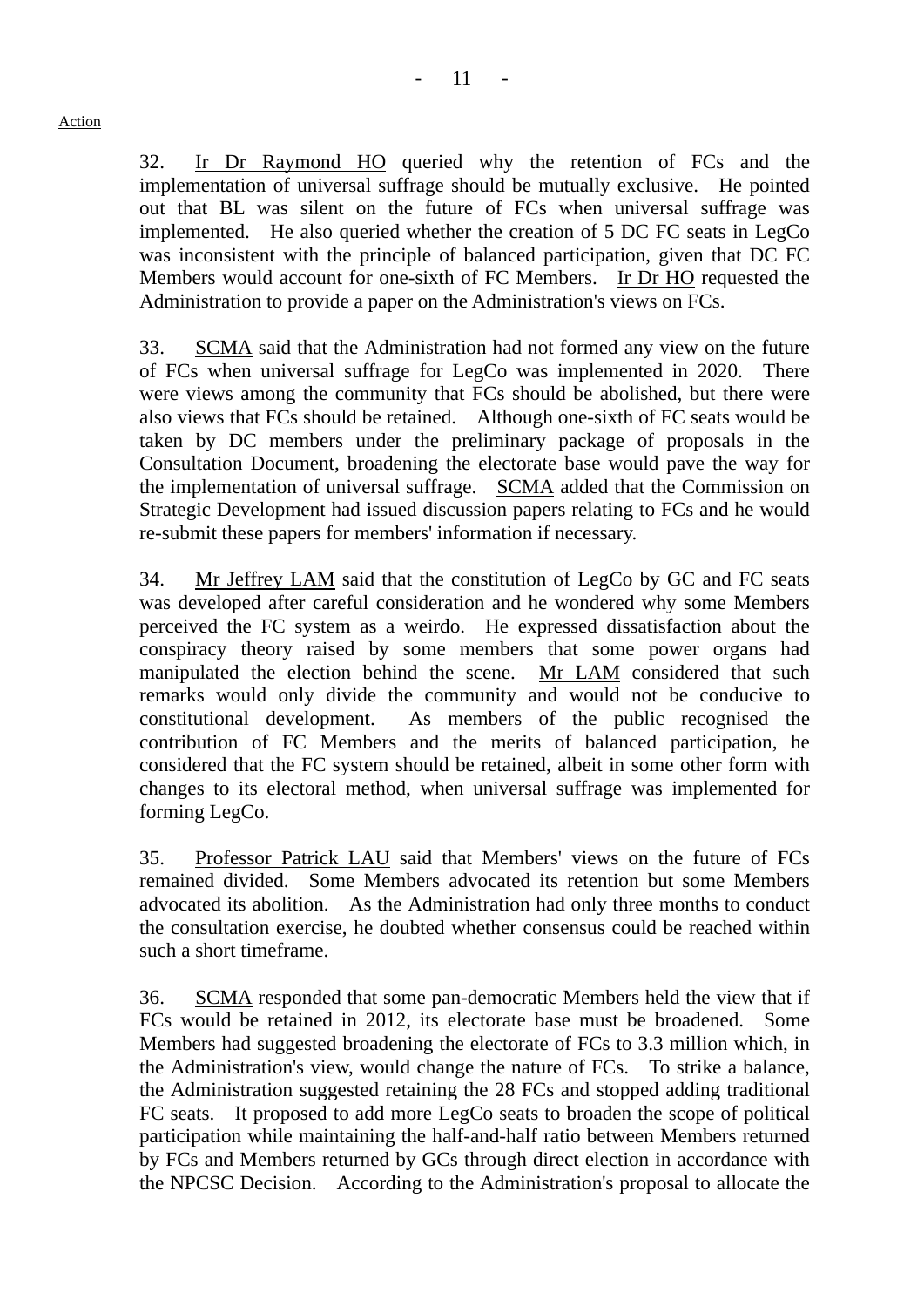32. Ir Dr Raymond HO queried why the retention of FCs and the implementation of universal suffrage should be mutually exclusive. He pointed out that BL was silent on the future of FCs when universal suffrage was implemented. He also queried whether the creation of 5 DC FC seats in LegCo was inconsistent with the principle of balanced participation, given that DC FC Members would account for one-sixth of FC Members. Ir Dr HO requested the Administration to provide a paper on the Administration's views on FCs.

33. SCMA said that the Administration had not formed any view on the future of FCs when universal suffrage for LegCo was implemented in 2020. There were views among the community that FCs should be abolished, but there were also views that FCs should be retained. Although one-sixth of FC seats would be taken by DC members under the preliminary package of proposals in the Consultation Document, broadening the electorate base would pave the way for the implementation of universal suffrage. SCMA added that the Commission on Strategic Development had issued discussion papers relating to FCs and he would re-submit these papers for members' information if necessary.

34. Mr Jeffrey LAM said that the constitution of LegCo by GC and FC seats was developed after careful consideration and he wondered why some Members perceived the FC system as a weirdo. He expressed dissatisfaction about the conspiracy theory raised by some members that some power organs had manipulated the election behind the scene. Mr LAM considered that such remarks would only divide the community and would not be conducive to constitutional development. As members of the public recognised the contribution of FC Members and the merits of balanced participation, he considered that the FC system should be retained, albeit in some other form with changes to its electoral method, when universal suffrage was implemented for forming LegCo.

35. Professor Patrick LAU said that Members' views on the future of FCs remained divided. Some Members advocated its retention but some Members advocated its abolition. As the Administration had only three months to conduct the consultation exercise, he doubted whether consensus could be reached within such a short timeframe.

36. SCMA responded that some pan-democratic Members held the view that if FCs would be retained in 2012, its electorate base must be broadened. Some Members had suggested broadening the electorate of FCs to 3.3 million which, in the Administration's view, would change the nature of FCs. To strike a balance, the Administration suggested retaining the 28 FCs and stopped adding traditional FC seats. It proposed to add more LegCo seats to broaden the scope of political participation while maintaining the half-and-half ratio between Members returned by FCs and Members returned by GCs through direct election in accordance with the NPCSC Decision. According to the Administration's proposal to allocate the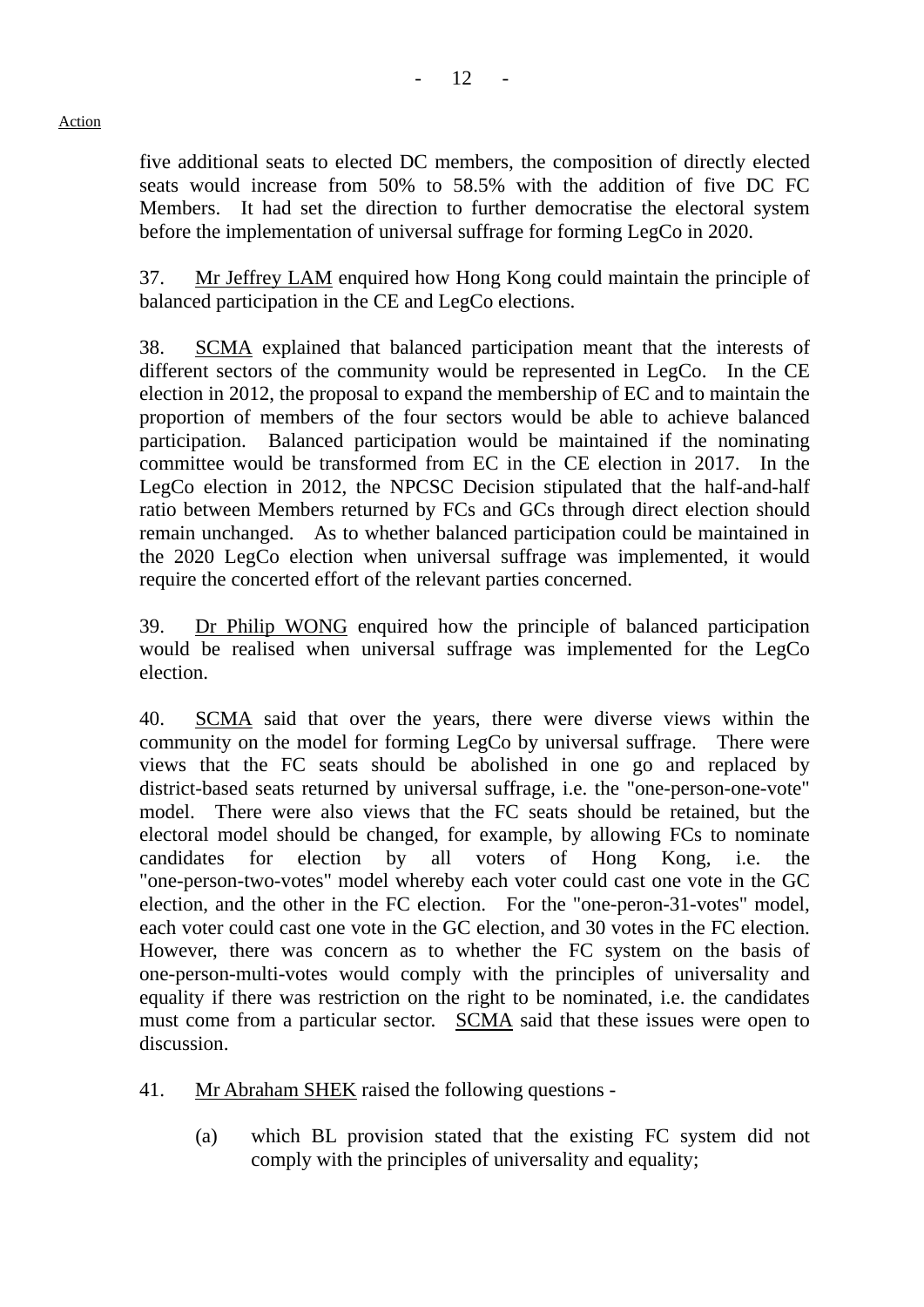five additional seats to elected DC members, the composition of directly elected seats would increase from 50% to 58.5% with the addition of five DC FC Members. It had set the direction to further democratise the electoral system before the implementation of universal suffrage for forming LegCo in 2020.

37. Mr Jeffrey LAM enquired how Hong Kong could maintain the principle of balanced participation in the CE and LegCo elections.

38. SCMA explained that balanced participation meant that the interests of different sectors of the community would be represented in LegCo. In the CE election in 2012, the proposal to expand the membership of EC and to maintain the proportion of members of the four sectors would be able to achieve balanced participation. Balanced participation would be maintained if the nominating committee would be transformed from EC in the CE election in 2017. In the LegCo election in 2012, the NPCSC Decision stipulated that the half-and-half ratio between Members returned by FCs and GCs through direct election should remain unchanged. As to whether balanced participation could be maintained in the 2020 LegCo election when universal suffrage was implemented, it would require the concerted effort of the relevant parties concerned.

39. Dr Philip WONG enquired how the principle of balanced participation would be realised when universal suffrage was implemented for the LegCo election.

40. SCMA said that over the years, there were diverse views within the community on the model for forming LegCo by universal suffrage. There were views that the FC seats should be abolished in one go and replaced by district-based seats returned by universal suffrage, i.e. the "one-person-one-vote" model. There were also views that the FC seats should be retained, but the electoral model should be changed, for example, by allowing FCs to nominate candidates for election by all voters of Hong Kong, i.e. "one-person-two-votes" model whereby each voter could cast one vote in the GC election, and the other in the FC election. For the "one-peron-31-votes" model, each voter could cast one vote in the GC election, and 30 votes in the FC election. However, there was concern as to whether the FC system on the basis of one-person-multi-votes would comply with the principles of universality and equality if there was restriction on the right to be nominated, i.e. the candidates must come from a particular sector. SCMA said that these issues were open to discussion.

- 41. Mr Abraham SHEK raised the following questions
	- (a) which BL provision stated that the existing FC system did not comply with the principles of universality and equality;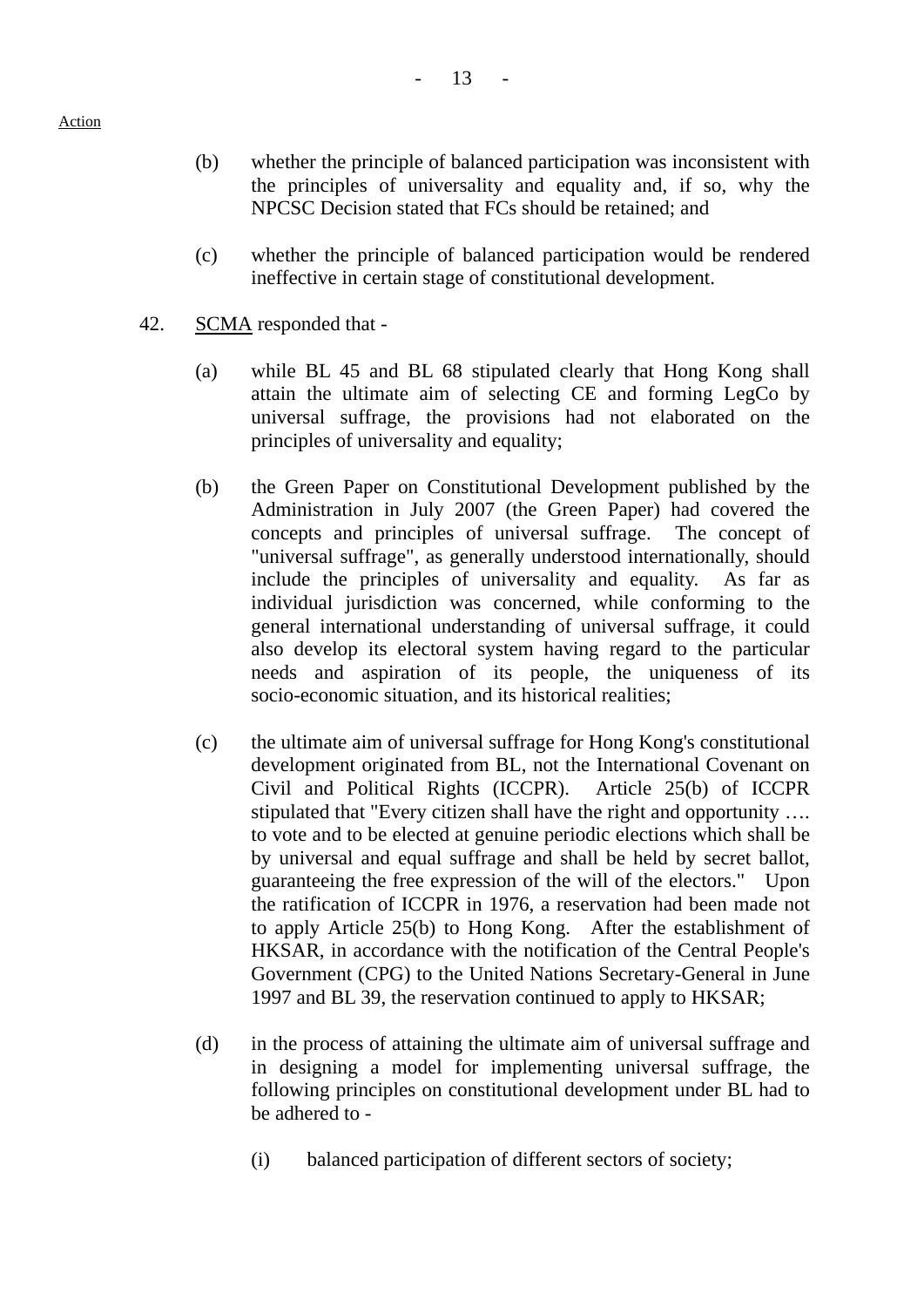- (b) whether the principle of balanced participation was inconsistent with the principles of universality and equality and, if so, why the NPCSC Decision stated that FCs should be retained; and
- (c) whether the principle of balanced participation would be rendered ineffective in certain stage of constitutional development.
- 42. SCMA responded that
	- (a) while BL 45 and BL 68 stipulated clearly that Hong Kong shall attain the ultimate aim of selecting CE and forming LegCo by universal suffrage, the provisions had not elaborated on the principles of universality and equality;
	- (b) the Green Paper on Constitutional Development published by the Administration in July 2007 (the Green Paper) had covered the concepts and principles of universal suffrage. The concept of "universal suffrage", as generally understood internationally, should include the principles of universality and equality. As far as individual jurisdiction was concerned, while conforming to the general international understanding of universal suffrage, it could also develop its electoral system having regard to the particular needs and aspiration of its people, the uniqueness of its socio-economic situation, and its historical realities;
	- (c) the ultimate aim of universal suffrage for Hong Kong's constitutional development originated from BL, not the International Covenant on Civil and Political Rights (ICCPR). Article 25(b) of ICCPR stipulated that "Every citizen shall have the right and opportunity …. to vote and to be elected at genuine periodic elections which shall be by universal and equal suffrage and shall be held by secret ballot, guaranteeing the free expression of the will of the electors." Upon the ratification of ICCPR in 1976, a reservation had been made not to apply Article 25(b) to Hong Kong. After the establishment of HKSAR, in accordance with the notification of the Central People's Government (CPG) to the United Nations Secretary-General in June 1997 and BL 39, the reservation continued to apply to HKSAR;
	- (d) in the process of attaining the ultimate aim of universal suffrage and in designing a model for implementing universal suffrage, the following principles on constitutional development under BL had to be adhered to -
		- (i) balanced participation of different sectors of society;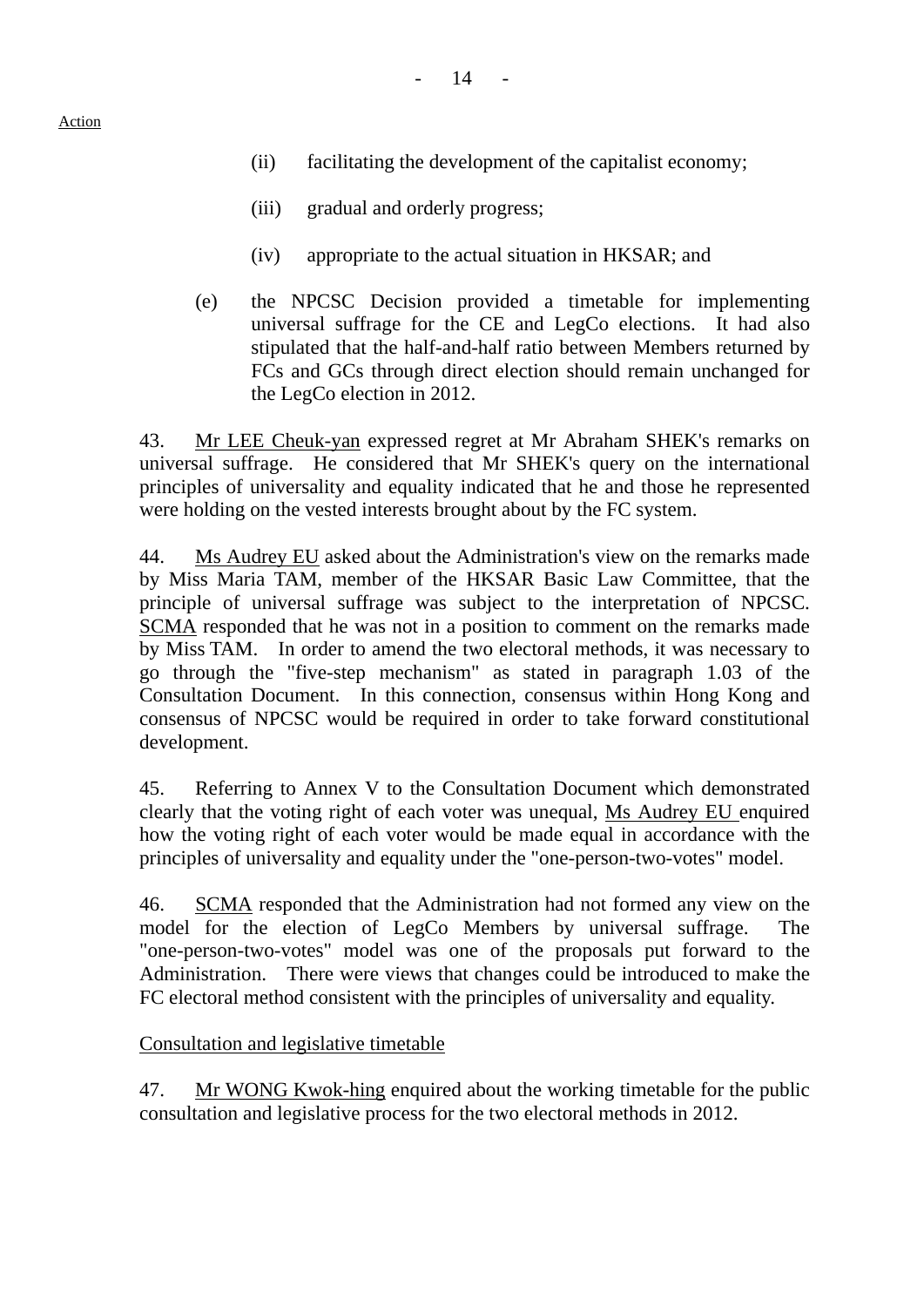- (ii) facilitating the development of the capitalist economy;
- (iii) gradual and orderly progress;
- (iv) appropriate to the actual situation in HKSAR; and
- (e) the NPCSC Decision provided a timetable for implementing universal suffrage for the CE and LegCo elections. It had also stipulated that the half-and-half ratio between Members returned by FCs and GCs through direct election should remain unchanged for the LegCo election in 2012.

43. Mr LEE Cheuk-yan expressed regret at Mr Abraham SHEK's remarks on universal suffrage. He considered that Mr SHEK's query on the international principles of universality and equality indicated that he and those he represented were holding on the vested interests brought about by the FC system.

44. Ms Audrey EU asked about the Administration's view on the remarks made by Miss Maria TAM, member of the HKSAR Basic Law Committee, that the principle of universal suffrage was subject to the interpretation of NPCSC. SCMA responded that he was not in a position to comment on the remarks made by Miss TAM. In order to amend the two electoral methods, it was necessary to go through the "five-step mechanism" as stated in paragraph 1.03 of the Consultation Document. In this connection, consensus within Hong Kong and consensus of NPCSC would be required in order to take forward constitutional development.

45. Referring to Annex V to the Consultation Document which demonstrated clearly that the voting right of each voter was unequal, Ms Audrey EU enquired how the voting right of each voter would be made equal in accordance with the principles of universality and equality under the "one-person-two-votes" model.

46. SCMA responded that the Administration had not formed any view on the model for the election of LegCo Members by universal suffrage. "one-person-two-votes" model was one of the proposals put forward to the Administration. There were views that changes could be introduced to make the FC electoral method consistent with the principles of universality and equality.

Consultation and legislative timetable

47. Mr WONG Kwok-hing enquired about the working timetable for the public consultation and legislative process for the two electoral methods in 2012.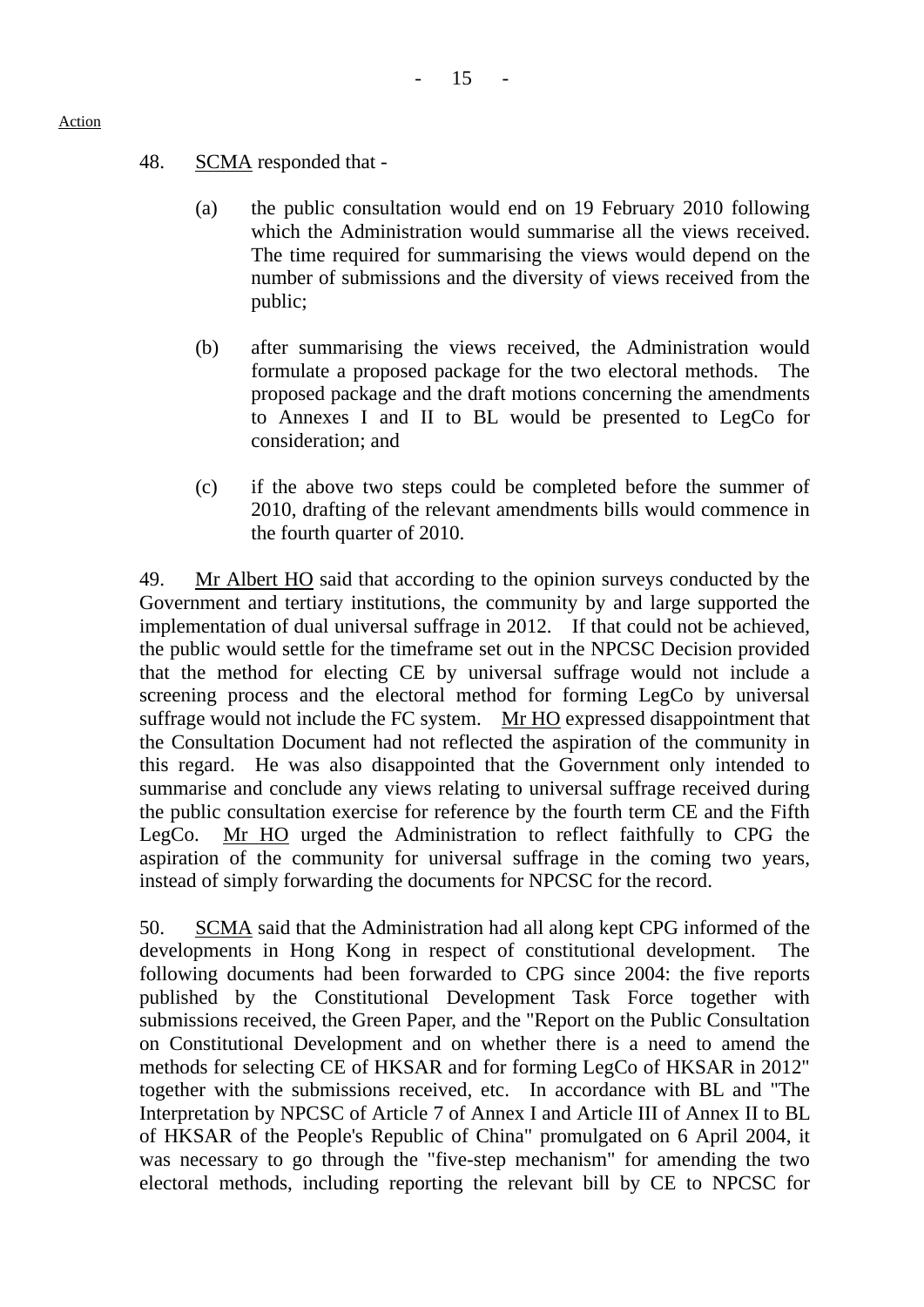- 48. SCMA responded that
	- (a) the public consultation would end on 19 February 2010 following which the Administration would summarise all the views received. The time required for summarising the views would depend on the number of submissions and the diversity of views received from the public;
	- (b) after summarising the views received, the Administration would formulate a proposed package for the two electoral methods. The proposed package and the draft motions concerning the amendments to Annexes I and II to BL would be presented to LegCo for consideration; and
	- (c) if the above two steps could be completed before the summer of 2010, drafting of the relevant amendments bills would commence in the fourth quarter of 2010.

49. Mr Albert HO said that according to the opinion surveys conducted by the Government and tertiary institutions, the community by and large supported the implementation of dual universal suffrage in 2012. If that could not be achieved, the public would settle for the timeframe set out in the NPCSC Decision provided that the method for electing CE by universal suffrage would not include a screening process and the electoral method for forming LegCo by universal suffrage would not include the FC system. Mr HO expressed disappointment that the Consultation Document had not reflected the aspiration of the community in this regard. He was also disappointed that the Government only intended to summarise and conclude any views relating to universal suffrage received during the public consultation exercise for reference by the fourth term CE and the Fifth LegCo. Mr HO urged the Administration to reflect faithfully to CPG the aspiration of the community for universal suffrage in the coming two years, instead of simply forwarding the documents for NPCSC for the record.

50. SCMA said that the Administration had all along kept CPG informed of the developments in Hong Kong in respect of constitutional development. The following documents had been forwarded to CPG since 2004: the five reports published by the Constitutional Development Task Force together with submissions received, the Green Paper, and the "Report on the Public Consultation on Constitutional Development and on whether there is a need to amend the methods for selecting CE of HKSAR and for forming LegCo of HKSAR in 2012" together with the submissions received, etc. In accordance with BL and "The Interpretation by NPCSC of Article 7 of Annex I and Article III of Annex II to BL of HKSAR of the People's Republic of China" promulgated on 6 April 2004, it was necessary to go through the "five-step mechanism" for amending the two electoral methods, including reporting the relevant bill by CE to NPCSC for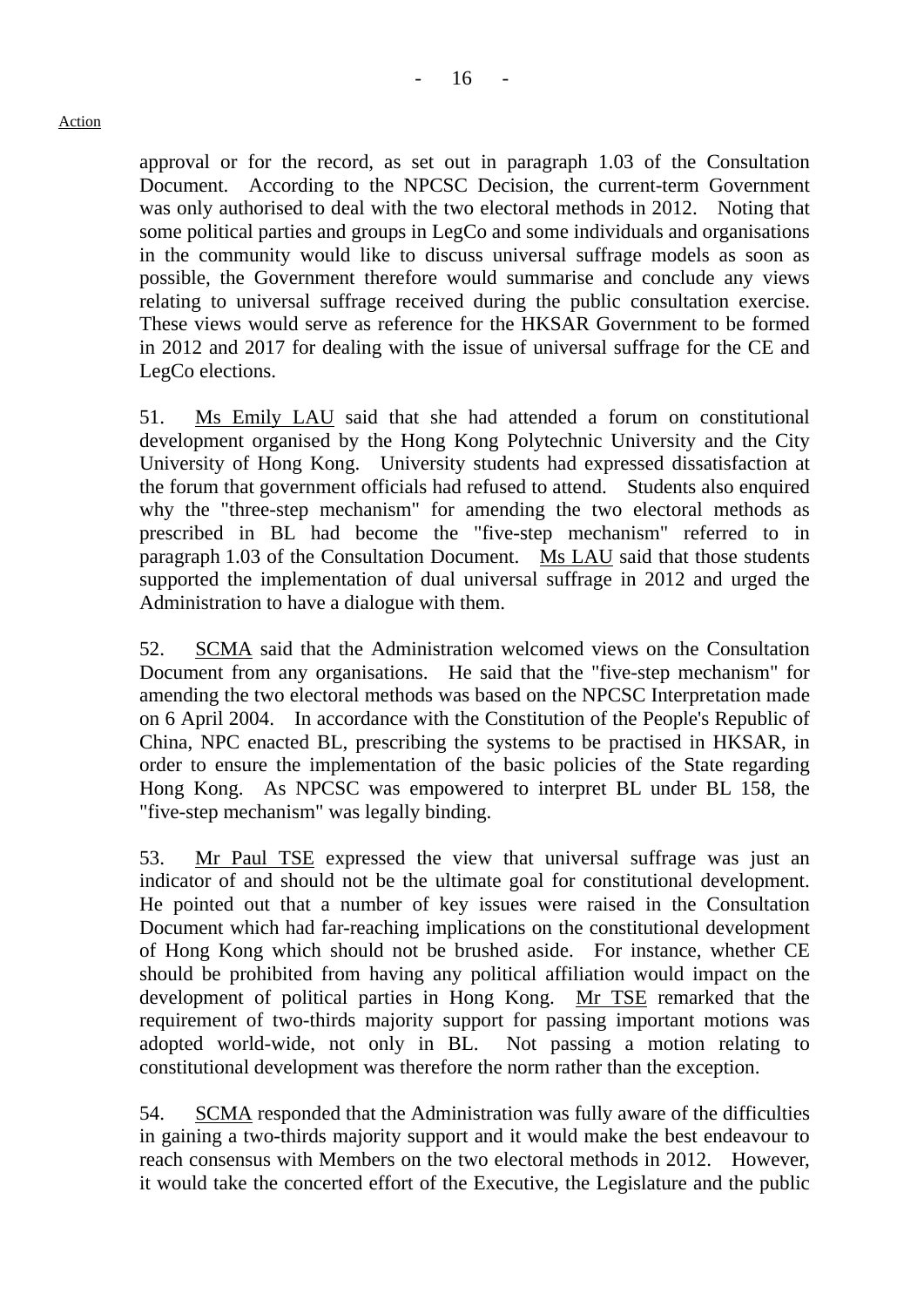approval or for the record, as set out in paragraph 1.03 of the Consultation Document. According to the NPCSC Decision, the current-term Government was only authorised to deal with the two electoral methods in 2012. Noting that some political parties and groups in LegCo and some individuals and organisations in the community would like to discuss universal suffrage models as soon as possible, the Government therefore would summarise and conclude any views relating to universal suffrage received during the public consultation exercise. These views would serve as reference for the HKSAR Government to be formed in 2012 and 2017 for dealing with the issue of universal suffrage for the CE and LegCo elections.

51. Ms Emily LAU said that she had attended a forum on constitutional development organised by the Hong Kong Polytechnic University and the City University of Hong Kong. University students had expressed dissatisfaction at the forum that government officials had refused to attend. Students also enquired why the "three-step mechanism" for amending the two electoral methods as prescribed in BL had become the "five-step mechanism" referred to in paragraph 1.03 of the Consultation Document. Ms LAU said that those students supported the implementation of dual universal suffrage in 2012 and urged the Administration to have a dialogue with them.

52. SCMA said that the Administration welcomed views on the Consultation Document from any organisations. He said that the "five-step mechanism" for amending the two electoral methods was based on the NPCSC Interpretation made on 6 April 2004. In accordance with the Constitution of the People's Republic of China, NPC enacted BL, prescribing the systems to be practised in HKSAR, in order to ensure the implementation of the basic policies of the State regarding Hong Kong. As NPCSC was empowered to interpret BL under BL 158, the "five-step mechanism" was legally binding.

53. Mr Paul TSE expressed the view that universal suffrage was just an indicator of and should not be the ultimate goal for constitutional development. He pointed out that a number of key issues were raised in the Consultation Document which had far-reaching implications on the constitutional development of Hong Kong which should not be brushed aside. For instance, whether CE should be prohibited from having any political affiliation would impact on the development of political parties in Hong Kong. Mr TSE remarked that the requirement of two-thirds majority support for passing important motions was adopted world-wide, not only in BL. Not passing a motion relating to constitutional development was therefore the norm rather than the exception.

54. SCMA responded that the Administration was fully aware of the difficulties in gaining a two-thirds majority support and it would make the best endeavour to reach consensus with Members on the two electoral methods in 2012. However, it would take the concerted effort of the Executive, the Legislature and the public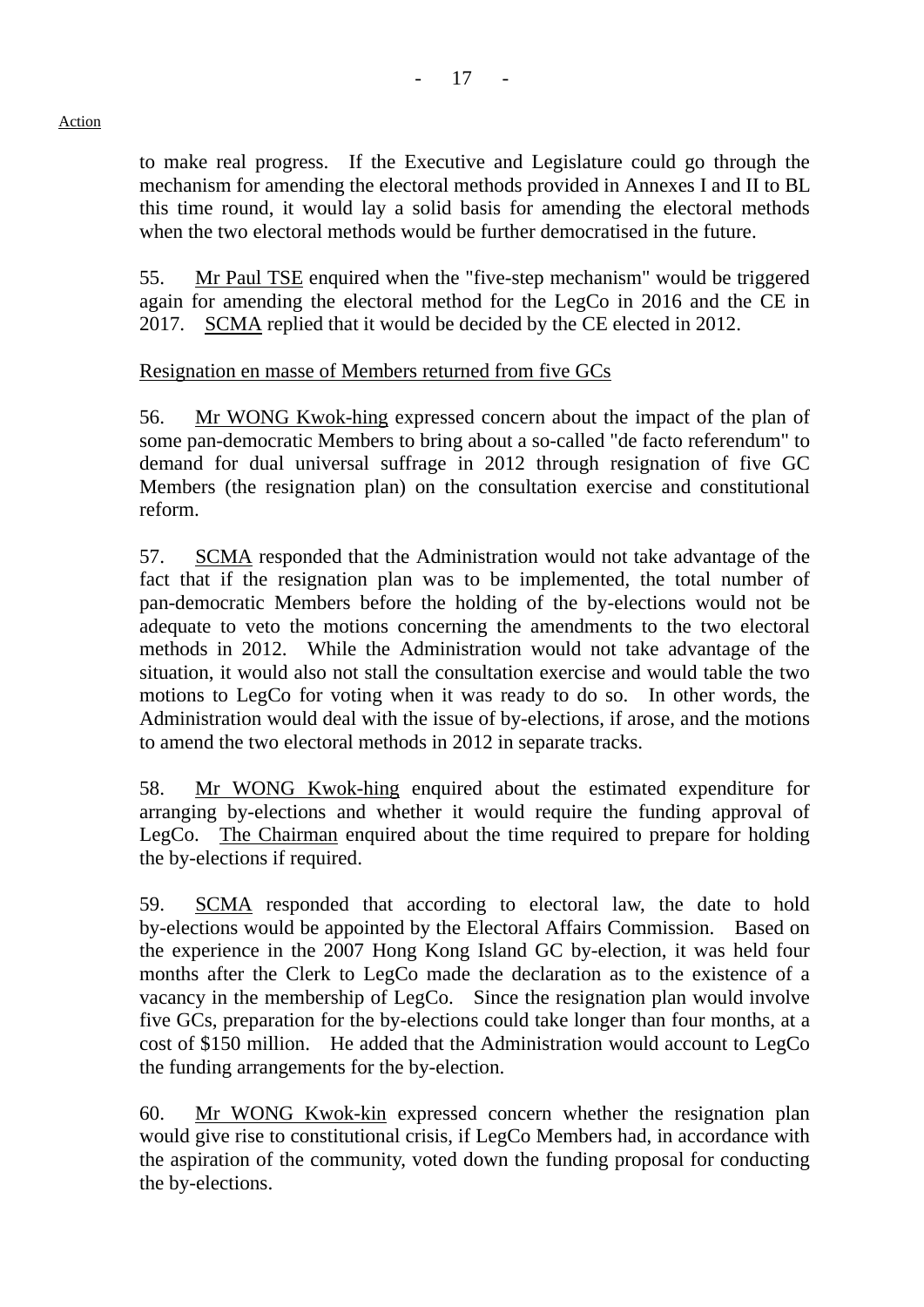to make real progress. If the Executive and Legislature could go through the mechanism for amending the electoral methods provided in Annexes I and II to BL this time round, it would lay a solid basis for amending the electoral methods when the two electoral methods would be further democratised in the future.

55. Mr Paul TSE enquired when the "five-step mechanism" would be triggered again for amending the electoral method for the LegCo in 2016 and the CE in 2017. SCMA replied that it would be decided by the CE elected in 2012.

# Resignation en masse of Members returned from five GCs

56. Mr WONG Kwok-hing expressed concern about the impact of the plan of some pan-democratic Members to bring about a so-called "de facto referendum" to demand for dual universal suffrage in 2012 through resignation of five GC Members (the resignation plan) on the consultation exercise and constitutional reform.

57. SCMA responded that the Administration would not take advantage of the fact that if the resignation plan was to be implemented, the total number of pan-democratic Members before the holding of the by-elections would not be adequate to veto the motions concerning the amendments to the two electoral methods in 2012. While the Administration would not take advantage of the situation, it would also not stall the consultation exercise and would table the two motions to LegCo for voting when it was ready to do so. In other words, the Administration would deal with the issue of by-elections, if arose, and the motions to amend the two electoral methods in 2012 in separate tracks.

58. Mr WONG Kwok-hing enquired about the estimated expenditure for arranging by-elections and whether it would require the funding approval of LegCo. The Chairman enquired about the time required to prepare for holding the by-elections if required.

59. SCMA responded that according to electoral law, the date to hold by-elections would be appointed by the Electoral Affairs Commission. Based on the experience in the 2007 Hong Kong Island GC by-election, it was held four months after the Clerk to LegCo made the declaration as to the existence of a vacancy in the membership of LegCo. Since the resignation plan would involve five GCs, preparation for the by-elections could take longer than four months, at a cost of \$150 million. He added that the Administration would account to LegCo the funding arrangements for the by-election.

60. Mr WONG Kwok-kin expressed concern whether the resignation plan would give rise to constitutional crisis, if LegCo Members had, in accordance with the aspiration of the community, voted down the funding proposal for conducting the by-elections.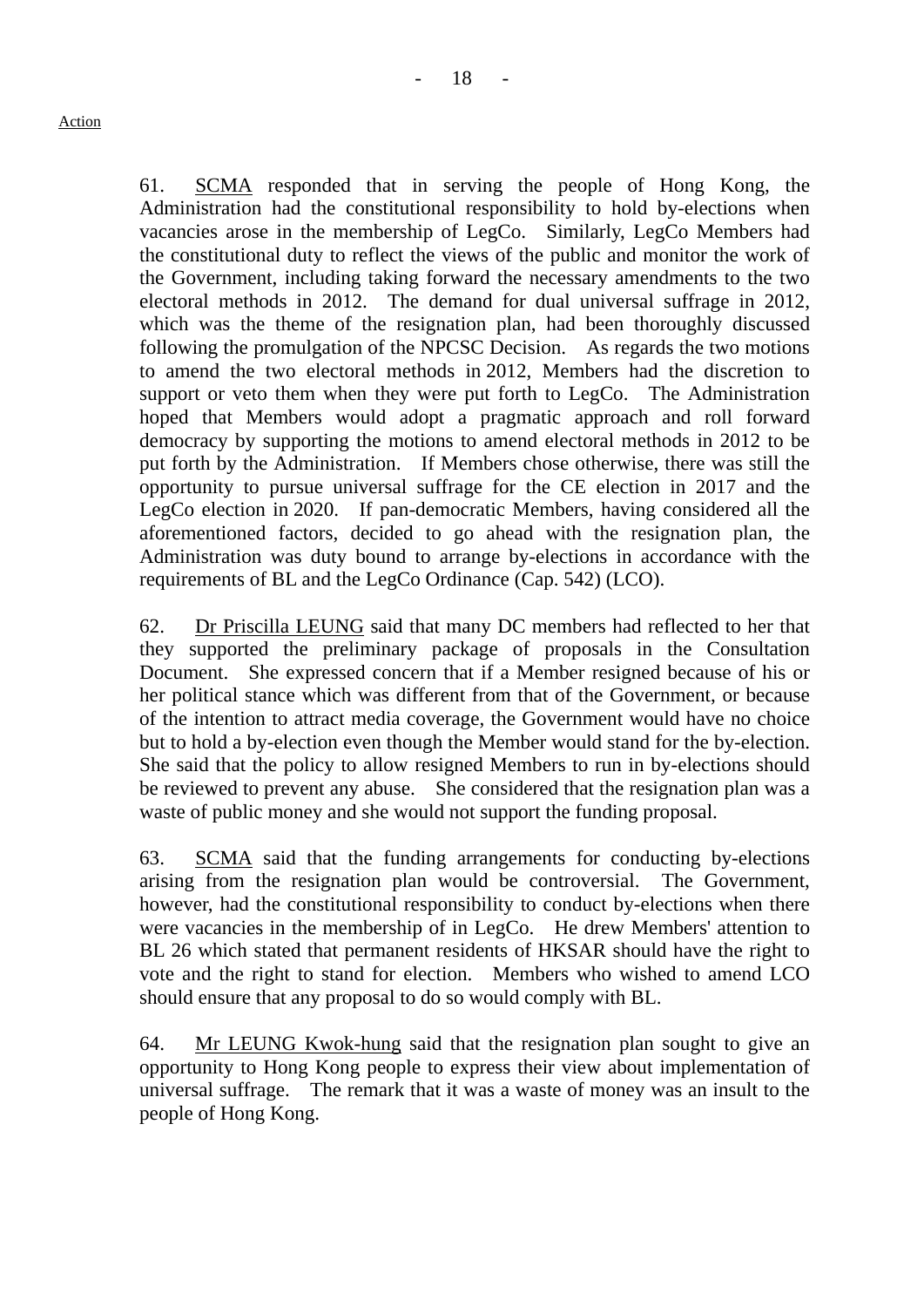61. SCMA responded that in serving the people of Hong Kong, the Administration had the constitutional responsibility to hold by-elections when vacancies arose in the membership of LegCo. Similarly, LegCo Members had the constitutional duty to reflect the views of the public and monitor the work of the Government, including taking forward the necessary amendments to the two electoral methods in 2012. The demand for dual universal suffrage in 2012, which was the theme of the resignation plan, had been thoroughly discussed following the promulgation of the NPCSC Decision. As regards the two motions to amend the two electoral methods in 2012, Members had the discretion to support or veto them when they were put forth to LegCo. The Administration hoped that Members would adopt a pragmatic approach and roll forward democracy by supporting the motions to amend electoral methods in 2012 to be put forth by the Administration. If Members chose otherwise, there was still the opportunity to pursue universal suffrage for the CE election in 2017 and the LegCo election in 2020. If pan-democratic Members, having considered all the aforementioned factors, decided to go ahead with the resignation plan, the Administration was duty bound to arrange by-elections in accordance with the requirements of BL and the LegCo Ordinance (Cap. 542) (LCO).

62. Dr Priscilla LEUNG said that many DC members had reflected to her that they supported the preliminary package of proposals in the Consultation Document. She expressed concern that if a Member resigned because of his or her political stance which was different from that of the Government, or because of the intention to attract media coverage, the Government would have no choice but to hold a by-election even though the Member would stand for the by-election. She said that the policy to allow resigned Members to run in by-elections should be reviewed to prevent any abuse. She considered that the resignation plan was a waste of public money and she would not support the funding proposal.

63. SCMA said that the funding arrangements for conducting by-elections arising from the resignation plan would be controversial. The Government, however, had the constitutional responsibility to conduct by-elections when there were vacancies in the membership of in LegCo. He drew Members' attention to BL 26 which stated that permanent residents of HKSAR should have the right to vote and the right to stand for election. Members who wished to amend LCO should ensure that any proposal to do so would comply with BL.

64. Mr LEUNG Kwok-hung said that the resignation plan sought to give an opportunity to Hong Kong people to express their view about implementation of universal suffrage. The remark that it was a waste of money was an insult to the people of Hong Kong.